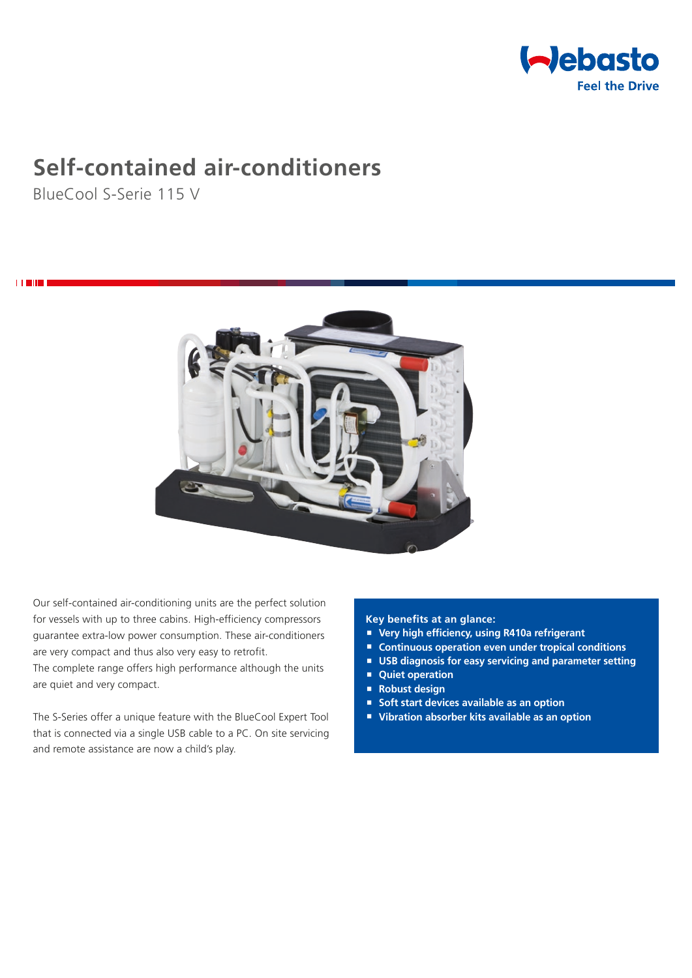

# **Self-contained air-conditioners**

BlueCool S-Serie 115 V

i **Title** 



Our self-contained air-conditioning units are the perfect solution for vessels with up to three cabins. High-efficiency compressors guarantee extra-low power consumption. These air-conditioners are very compact and thus also very easy to retrofit. The complete range offers high performance although the units are quiet and very compact.

The S-Series offer a unique feature with the BlueCool Expert Tool that is connected via a single USB cable to a PC. On site servicing and remote assistance are now a child's play.

### **Key benefits at an glance:**

- **Very high efficiency, using R410a refrigerant**
- Continuous operation even under tropical conditions
- **USB diagnosis for easy servicing and parameter setting**
- **Quiet operation**
- **Robust design**
- **Soft start devices available as an option**
- **Vibration absorber kits available as an option**